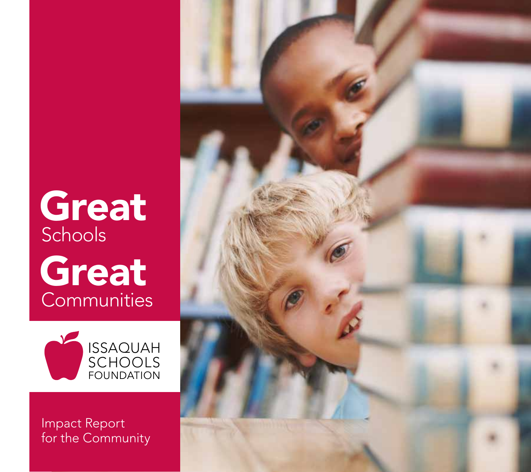# Great Schools Great **Communities**



Impact Report for the Community

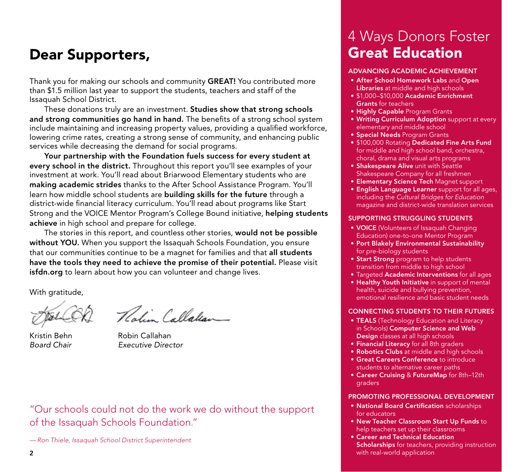# Dear Supporters,

Thank you for making our schools and community GREAT! You contributed more than \$1.5 million last year to support the students, teachers and staff of the Issaquah School District.

These donations truly are an investment. Studies show that strong schools and strong communities go hand in hand. The benefits of a strong school system include maintaining and increasing property values, providing a qualified workforce, lowering crime rates, creating a strong sense of community, and enhancing public services while decreasing the demand for social programs.

Your partnership with the Foundation fuels success for every student at every school in the district. Throughout this report you'll see examples of your investment at work. You'll read about Briarwood Elementary students who are making academic strides thanks to the After School Assistance Program. You'll learn how middle school students are building skills for the future through a district-wide financial literacy curriculum. You'll read about programs like Start Strong and the VOICE Mentor Program's College Bound initiative, helping students achieve in high school and prepare for college.

The stories in this report, and countless other stories, would not be possible without YOU. When you support the Issaquah Schools Foundation, you ensure that our communities continue to be a magnet for families and that all students have the tools they need to achieve the promise of their potential. Please visit isfdn.org to learn about how you can volunteer and change lives.

With gratitude,

Rolin Callalian

Kristin Behn Robin Callahan *Board Chair Executive Director*

"Our schools could not do the work we do without the support of the Issaquah Schools Foundation."

*— Ron Thiele, Issaquah School District Superintendent*

# 4 Ways Donors Foster Great Education

### ADVANCING ACADEMIC ACHIEVEMENT

- After School Homework Labs and Open Libraries at middle and high schools
- \$1,000–\$10,000 Academic Enrichment Grants for teachers
- Highly Capable Program Grants
- Writing Curriculum Adoption support at every elementary and middle school
- Special Needs Program Grants
- \$100,000 Rotating Dedicated Fine Arts Fund for middle and high school band, orchestra, choral, drama and visual arts programs
- Shakespeare Alive unit with Seattle Shakespeare Company for all freshmen
- Elementary Science Tech Magnet support
- English Language Learner support for all ages, including the *Cultural Bridges for Education* magazine and district-wide translation services

### SUPPORTING STRUGGLING STUDENTS

- VOICE (Volunteers of Issaquah Changing Education) one-to-one Mentor Program
- Port Blakely Environmental Sustainability for pre-biology students
- Start Strong program to help students transition from middle to high school
- Targeted Academic Interventions for all ages
- Healthy Youth Initiative in support of mental health, suicide and bullying prevention, emotional resilience and basic student needs

### CONNECTING STUDENTS TO THEIR FUTURES

- TEALS (Technology Education and Literacy in Schools) Computer Science and Web Design classes at all high schools
- Financial Literacy for all 8th graders
- Robotics Clubs at middle and high schools
- Great Careers Conference to introduce students to alternative career paths
- Career Cruising & FutureMap for 8th–12th graders

### PROMOTING PROFESSIONAL DEVELOPMENT

- National Board Certification scholarships for educators
- New Teacher Classroom Start Up Funds to help teachers set up their classrooms
- Career and Technical Education Scholarships for teachers, providing instruction with real-world application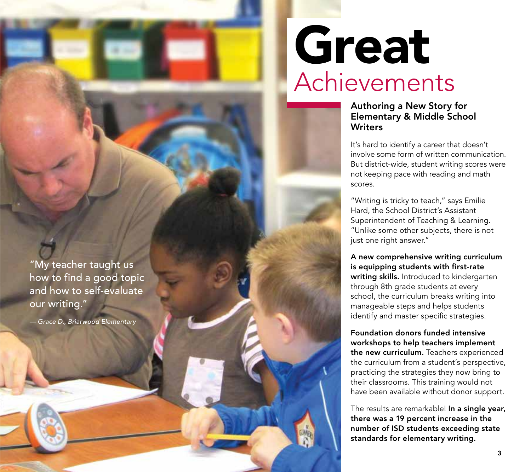### "My teacher taught us how to find a good topic and how to self-evaluate our writing."

*— Grace D., Briarwood Elementary*

# Great Achievements

### Authoring a New Story for Elementary & Middle School **Writers**

It's hard to identify a career that doesn't involve some form of written communication. But district-wide, student writing scores were not keeping pace with reading and math scores.

"Writing is tricky to teach," says Emilie Hard, the School District's Assistant Superintendent of Teaching & Learning. "Unlike some other subjects, there is not just one right answer."

A new comprehensive writing curriculum is equipping students with first-rate writing skills. Introduced to kindergarten through 8th grade students at every school, the curriculum breaks writing into manageable steps and helps students identify and master specific strategies.

Foundation donors funded intensive workshops to help teachers implement the new curriculum. Teachers experienced the curriculum from a student's perspective, practicing the strategies they now bring to their classrooms. This training would not have been available without donor support.

The results are remarkable! In a single year, there was a 19 percent increase in the number of ISD students exceeding state standards for elementary writing.

麻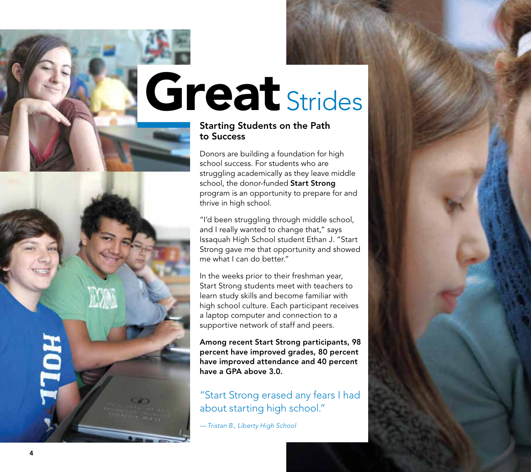# Great Strides

### Starting Students on the Path to Success

Donors are building a foundation for high school success. For students who are struggling academically as they leave middle school, the donor-funded Start Strong program is an opportunity to prepare for and thrive in high school.

"I'd been struggling through middle school, and I really wanted to change that," says Issaquah High School student Ethan J. "Start Strong gave me that opportunity and showed me what I can do better."

In the weeks prior to their freshman year, Start Strong students meet with teachers to learn study skills and become familiar with high school culture. Each participant receives a laptop computer and connection to a supportive network of staff and peers.

Among recent Start Strong participants, 98 percent have improved grades, 80 percent have improved attendance and 40 percent have a GPA above 3.0.

## "Start Strong erased any fears I had about starting high school."

*—Tristan B., Liberty High School*

**HOLL**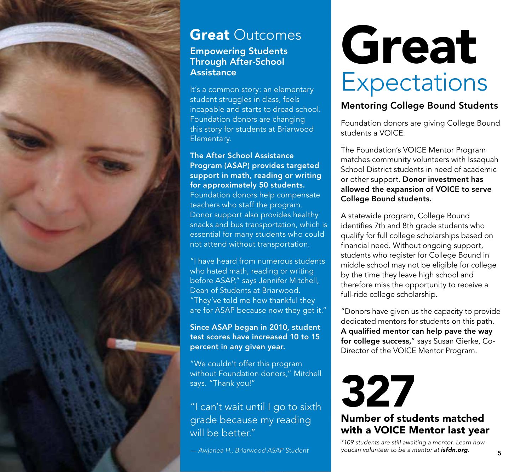

# **Great Outcomes**

### Empowering Students Through After-School **Assistance**

It's a common story: an elementary student struggles in class, feels incapable and starts to dread school. Foundation donors are changing this story for students at Briarwood Elementary.

The After School Assistance Program (ASAP) provides targeted support in math, reading or writing for approximately 50 students. Foundation donors help compensate teachers who staff the program. Donor support also provides healthy snacks and bus transportation, which is essential for many students who could not attend without transportation.

"I have heard from numerous students who hated math, reading or writing before ASAP," says Jennifer Mitchell, Dean of Students at Briarwood. "They've told me how thankful they are for ASAP because now they get it."

Since ASAP began in 2010, student test scores have increased 10 to 15 percent in any given year.

"We couldn't offer this program without Foundation donors," Mitchell says. "Thank you!"

## "I can't wait until I go to sixth grade because my reading will be better."

*— Awjanea H., Briarwood ASAP Student*

# Great **Expectations**

### Mentoring College Bound Students

Foundation donors are giving College Bound students a VOICE.

The Foundation's VOICE Mentor Program matches community volunteers with Issaquah School District students in need of academic or other support. Donor investment has allowed the expansion of VOICE to serve College Bound students.

A statewide program, College Bound identifies 7th and 8th grade students who qualify for full college scholarships based on financial need. Without ongoing support, students who register for College Bound in middle school may not be eligible for college by the time they leave high school and therefore miss the opportunity to receive a full-ride college scholarship.

"Donors have given us the capacity to provide dedicated mentors for students on this path. A qualified mentor can help pave the way for college success," says Susan Gierke, Co-Director of the VOICE Mentor Program.

327 Number of students matched with a VOICE Mentor last year

*\*109 students are still awaiting a mentor. Learn how youcan volunteer to be a mentor at [isfdn.org](www.isfdn.org).*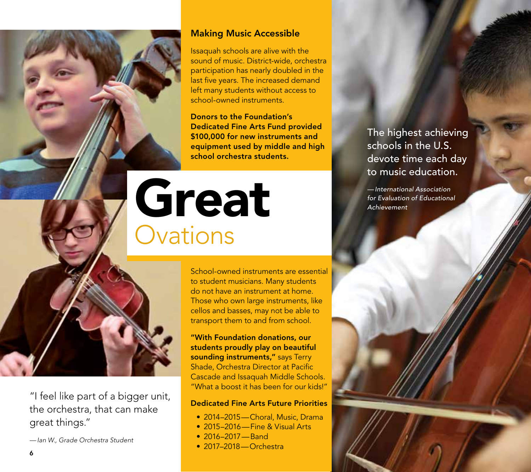6

"I feel like part of a bigger unit, the orchestra, that can make great things."

*— Ian W., Grade Orchestra Student*

### Making Music Accessible

Issaquah schools are alive with the sound of music. District-wide, orchestra participation has nearly doubled in the last five years. The increased demand left many students without access to school-owned instruments.

Donors to the Foundation's Dedicated Fine Arts Fund provided \$100,000 for new instruments and equipment used by middle and high school orchestra students.

# Great **Ovations**

School-owned instruments are essential to student musicians. Many students do not have an instrument at home. Those who own large instruments, like cellos and basses, may not be able to transport them to and from school.

"With Foundation donations, our students proudly play on beautiful sounding instruments," says Terry Shade, Orchestra Director at Pacific Cascade and Issaquah Middle Schools. "What a boost it has been for our kids!"

### Dedicated Fine Arts Future Priorities

- 2014–2015—Choral, Music, Drama
- 2015–2016—Fine & Visual Arts
- 2016–2017—Band
- 2017–2018—Orchestra

The highest achieving schools in the U.S. devote time each day to music education.

*— International Association for Evaluation of Educational Achievement*

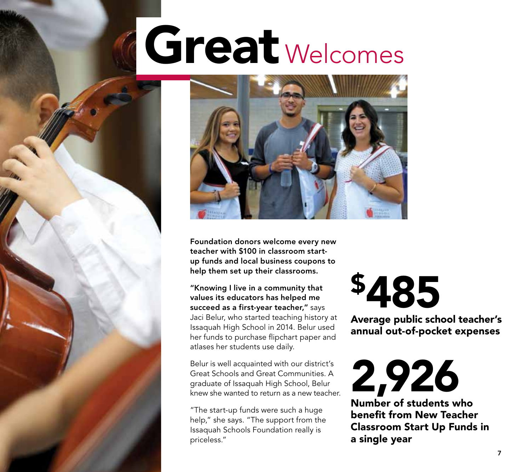# Great <sub>Welcomes</sub>



Foundation donors welcome every new teacher with \$100 in classroom startup funds and local business coupons to help them set up their classrooms.

"Knowing I live in a community that values its educators has helped me succeed as a first-year teacher," says Jaci Belur, who started teaching history at Issaquah High School in 2014. Belur used her funds to purchase flipchart paper and atlases her students use daily.

Belur is well acquainted with our district's Great Schools and Great Communities. A graduate of Issaquah High School, Belur knew she wanted to return as a new teacher.

"The start-up funds were such a huge help," she says. "The support from the Issaquah Schools Foundation really is priceless."

# \$485

Average public school teacher's annual out-of-pocket expenses

2,926 Number of students who

benefit from New Teacher Classroom Start Up Funds in a single year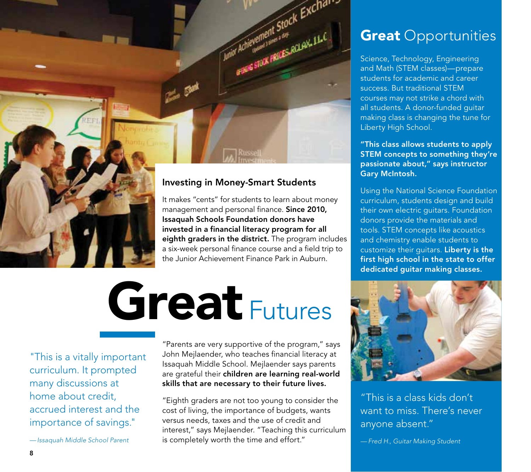

invested in a financial literacy program for all eighth graders in the district. The program includes a six-week personal finance course and a field trip to the Junior Achievement Finance Park in Auburn.

# Great Futures

"This is a vitally important curriculum. It prompted many discussions at home about credit, accrued interest and the importance of savings."

*—Issaquah Middle School Parent*

"Parents are very supportive of the program," says John Mejlaender, who teaches financial literacy at Issaquah Middle School. Mejlaender says parents are grateful their children are learning real-world skills that are necessary to their future lives.

"Eighth graders are not too young to consider the cost of living, the importance of budgets, wants versus needs, taxes and the use of credit and interest," says Mejlaender. "Teaching this curriculum is completely worth the time and effort."

# **Great Opportunities**

Science, Technology, Engineering and Math (STEM classes)—prepare students for academic and career success. But traditional STEM courses may not strike a chord with all students. A donor-funded guitar making class is changing the tune for Liberty High School.

"This class allows students to apply STEM concepts to something they're passionate about," says instructor Gary McIntosh.

Using the National Science Foundation curriculum, students design and build their own electric guitars. Foundation donors provide the materials and tools. STEM concepts like acoustics and chemistry enable students to customize their quitars. Liberty is the first high school in the state to offer dedicated guitar making classes.



"This is a class kids don't want to miss. There's never anyone absent."

*— Fred H., Guitar Making Student*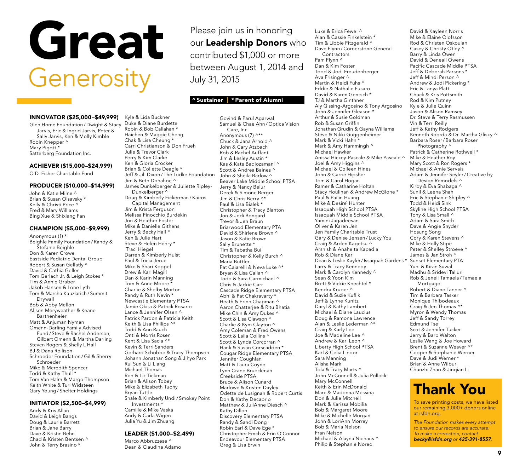# Great **Generosity**

#### INNOVATOR (\$25,000–\$49,999) Kyle & Lida Buckner Duke & Diane Burdette

Glen Home Foundation / Dwight & Stacy Jarvis, Eric & Ingrid Jarvis, Peter & Sally Jarvis, Ken & Molly Kimble Robin Knepper ^ Mary Pigott<sup>\*</sup> Satterberg Foundation Inc.

### ACHIEVER (\$15,000–\$24,999)

O.D. Fisher Charitable Fund

#### PRODUCER (\$10,000–\$14,999)

John & Katie Milne ^ Brian & Susan Olsavsky \* Kelly & Christi Price ^ Fred & Mary Williams Bing Xue & Shixiang Fan

#### CHAMPION (\$5,000–\$9,999)

Anonymous (1) \* Beighle Family Foundation / Randy & Stefanie Beighle Don & Karen Crowe Eastside Pediatric Dental Group Robert & Susan Gellatly \* David & Cathia Geller Tom Gerlach Jr. & Leigh Stokes \* Tim & Annie Graber Jakob Hansen & Lone Lyth Tom & Marsha Kauzlarich / Summit Drywall Bob & Abby Mellon Alison Meryweather & Keane Barthenheier Matt & Anjuman Nyman Omenn-Darling Family Advised Fund / Steve & Rachel Anderson, Gilbert Omenn & Martha Darling Steven Rogers & Shelly L Hall BJ & Dana Rollison Schroeder Foundation / Gil & Sherry Schroeder Mike & Meredith Spencer Todd & Kathy Thull \* Tom Van Halm & Margo Thompson Keith White & Turi Widsteen Gary Young / Shelter Holdings

#### INITIATOR (\$2,500–\$4,999)

Andy & Kris Allan David & Leigh Bangs Doug & Laurie Barrett Brian & Jane Barry Dave & Kristin Behn Chad & Kristen Bentsen ^ John & Terry Brasino \*

Robin & Bob Callahan \* Haichen & Maggie Cheng Chak & Lisa Cheung \* Carri Christianson & Don Frueh Julie & Trevor Clark Perry & Kim Clarke Ken & Gloria Crocker Brian & Collette Deagle \* Jeff & Jill Dixon / The Ludke Foundation Jim & Beth Donahoe ^ James Dunkelberger & Juliette Ripley-Dunkelberger ^ Doug & Kimberly Eickerman / Kairos Capital Management Jim & Krista Ferguson Melissa Finocchio Burdekin Jon & Heather Foster Mike & Danielle Githens Jerry & Becky Hall ^ Ken & Julie Hart Steve & Helen Henry \* Traci Hiegel Darren & Kimberly Hulst Paul & Tricia Jerue Mike & Shari Koppel Drew & Kari Magill Dan & Karin Manning Tom & Anne Moore \* Charlie & Shelby Morton Randy & Ruth Nevin \* Newcastle Elementary PTSA Jamie Okita & Patrick Rosario Lance & Jennifer Olsen ^ Patrick Pardon & Patricia Keith Keith & Lisa Phillips ^\* Todd & Ann Rauch Onti & Morris Rosen Kent & Lisa Sacia ^\* Kevin & Terri Sanders Gerhard Schobbe & Tracy Thompson Johann Jonathan Song & Jihyo Park Rui Sun & Li Liang Michael Thomas Ron & Liz Tickman Brian & Alison Tobey Mike & Elizabeth Tuohy Bryan Tuttle Shale & Kimberly Undi/ Smokey Point Investments \* Camille & Mike Vaska

Andy & Carla Wigen Julia Yu & Jim Zhuang

### LEADER (\$1,000–\$2,499)

Marco Abbruzzese ^ Dean & Claudine Adamo

Please join us in honoring our Leadership Donors who contributed \$1,000 or more between August 1, 2014 and July 31, 2015

### ^ Sustainer | \* Parent of Alumni

Govind & Parul Agarwal Samuel & Chae Ahn / Optica Vision Care, Inc. Anonymous (7) ^\*\* Chuck & Jana Arnold ^ John & Cary Atzbach Rob & Rachel Auffant Jim & Lesley Austin \* Kas & Kate Badiozamani ^ Scott & Andrea Baines ^ John & Sheila Barlow ^ Beaver Lake Middle School PTSA Jerry & Nancy Belur Derek & Simone Berger Jim & Chris Berry ^\* Paul & Lisa Bialek \* Christopher & Tracy Blanton Jon & Jodi Bongard Trevor & Jen Braun Briarwood Elementary PTA David & Shirlene Brown ^ Jason & Katie Brown Sally Brunette \* Tim & Tabatha Bui Christopher & Kelly Burch ^ Maria Buttler Pat Caiarelli & Neva Luke ^\* Bryan & Lisa Callan ^ Todd & Sara Carmichael ^ Chris & Jackie Carr Cascade Ridge Elementary PTSA Abhi & Pat Chakravarty \* Heath & Erinn Chapman ^ Aaron Chatterjee & Ritu Bhatia Mike Chin & Amy Dukes ^ Scott & Lisa Clawson ^ Charlie & Kym Clayton ^ Amy Coleman & Fred Owens Scott & Laila Collins ^ Scott & Lynda Corcorran ^ Hank & Susan Corscadden \* Cougar Ridge Elementary PTSA Jennifer Coughlan Matt & Laura Coyne Lynn Crane Brueckman Creekside PTSA Bruce & Alison Cunard Marlowe & Kristen Dayley Odette de Lusignan & Robert Curtis Don & Kathy Decaprio Matthew & JuliAnne Diesch ^ Kathy Dillon Discovery Elementary PTSA Randy & Sandi Dong Robin Earl & Dave Ege \* Christopher Emch & Erin O'Connor Endeavour Elementary PTSA Greg & Lisa Erwin

Luke & Erica Fewel ^ Alan & Cassie Finkelstein \* Tim & Libbie Fitzgerald ^ Dave Flynn / Cornerstone General Contractors Pam Flynn ^ Dan & Kim Foster Todd & Jodi Freudenberger Ava Frisinger ^ Martin & Heidi Fuhs ^ Eddie & Nathalie Fusaro David & Karen Gentsch \* TJ & Martha Ginthner Aly Gissing-Argosino & Tony Argosino John & Jennifer Gleason \* Arthur & Susie Goldman Rob & Susan Griffin Jonathan Grudin & Gayna Williams Steve & Nikki Guggenheimer Mark & Vicki Hahn \* Mark & Amy Hammingh ^ Michael Hawker Anissa Hickey-Pascale & Mike Pascale ^ Joel & Amy Higgins ^ Michael & Colleen Hines John & Carrie Hipsher Tom & Carol Hogan Ramer & Catharine Holtan Stacy Houlihan & Andrew McGlone \* Paul & Pailin Huang Mike & Desire` Hunter Issaquah High School PTSA Issaquah Middle School PTSA Yamini Jagadeesan Oliver & Karen Jen Jen Family Charitable Trust Gary & Denise Jensen / Lucky You Craig & Arden Kagetsu ^ Arshish & Anaheita Kapadia Rob & Diane Karl Dean & Leslie Kayler/Issaquah Gardens \* Larry & Tracy Kennedy Mark & Carolyn Kennedy ^ Sean & Yoon Kim Brett & Vickie Knechtel \* Kendra Kruper ^ David & Suzie Kuflik Jeff & Lynne Kunitz Daryl & Kathy Lambert Michael & Diane Laucius Doug & Ramona Lawrence Alan & Leslie Lederman ^\* Craig & Karly Lee Joe & Madeline Lee ^ Andrew & Kari Leon ^ Liberty High School PTSA Karl & Celia Lindor Sara Manning Alisha Mark Tola & Tracy Marts ^ John McConnell & Julia Pollock Mary McConnell Keith & Erin McDonald Marc & Madonna Messina Don & Julie Mitchell Mark & Karissa Mobilia Bob & Margaret Moore Mike & Michelle Morgan John & LoriAnn Morrey Bob & Maria Nelson Fran Nelson Michael & Alayna Niehaus ^ Philip & Stephanie Nored

David & Kayleen Norris Mike & Elaine Olofsson Rod & Christen Oskouian Casey & Christy Otley ^ Barry & Linda Owen David & Deneall Owens Pacific Cascade Middle PTSA Jeff & Deborah Parsons \* Jeff & Mindi Person ^ Andrew & Jodi Pickering \* Eric & Tanya Platt Chuck & Kris Pottsmith Rod & Kim Putney Kyle & Julie Quinn Jason & Alison Ramsey Dr. Steve & Terry Rasmussen Vin & Terri Reilly Jeff & Kathy Rodgers Kenneth Roorda & Dr. Martha Glisky ^ Barbara Roser/ Barbara Roser Photography  $\wedge$ Patrick & Catherine Rothwell \* Mike & Heather Roy Mary Scott & Ron Rogers \* Michael & Amie Servais Adam & Jennifer Seyler/ Creative by Design Remodels ^ Kirby & Eva Shabaga ^ Sunil & Leena Shah Eric & Stephanie Shipley ^ Todd & Heidi Sink Skyline High School PTSA Tony & Lisa Small ^ Adam & Sara Smith Dave & Angie Snyder Hosung Song Cory & Karen Stevens ^ Mike & Holly Stipe Peter & Shelley Stroeve ^ James & Jan Stroh ^ Sunset Elementary PTA Yuni & Kiran Suwal Madhu & Sridevi Talluri Rob & Jenell Tamaela / Tamaela Mortgage Robert & Diane Tanner ^ Tim & Barbara Tasker Monique Thibodeaux Craig & Jen Thomas ^\* Myron & Wendy Thomas Jeff & Sandy Torrey Edmund Tse Scot & Jennifer Tucker Jerry & Barb Walton Leslie Wang & Joe Howard Brent & Suzanne Weaver ^\* Cooper & Stephanie Werner Dave & Judi Werner \* Brian & Anne Wilbur Chunzhi Zhao & Jinqian Li

# Thank You

To save printing costs, we have listed our remaining 3,000+ donors online at isfdn.org.

*The Foundation makes every attempt to ensure our records are accurate. To make a correction, contact becky@isfdn.org or 425-391-8557.*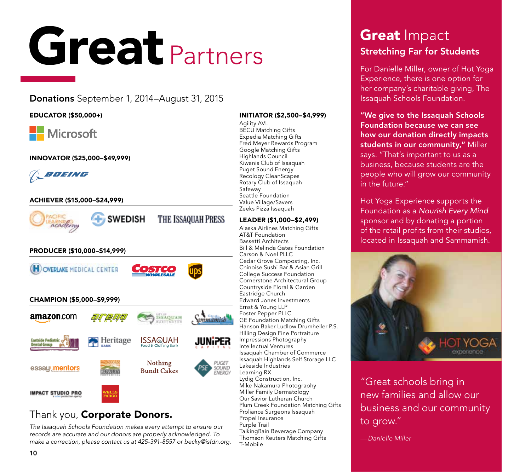# Great Partners

### Donations September 1, 2014–August 31, 2015

### EDUCATOR (\$50,000+)

## **Microsoft**

INNOVATOR (\$25,000–\$49,999)



### ACHIEVER (\$15,000–\$24,999)



### Thank you, Corporate Donors.

*The Issaquah Schools Foundation makes every attempt to ensure our records are accurate and our donors are properly acknowledged. To make a correction, please contact us at 425-391-8557 or [becky@isfdn.org](mailto:becky@isfdn.org).*

#### Rotary Club of Issaquah Safeway Seattle Foundation Value Village/Savers Zeeks Pizza Issaquah LEADER (\$1,000–\$2,499) Alaska Airlines Matching Gifts AT&T Foundation Bassetti Architects Bill & Melinda Gates Foundation Carson & Noel PLLC Cedar Grove Composting, Inc. Chinoise Sushi Bar & Asian Grill College Success Foundation Cornerstone Architectural Group Countryside Floral & Garden Eastridge Church Edward Jones Investments Ernst & Young LLP Foster Pepper PLLC GE Foundation Matching Gifts Hanson Baker Ludlow Drumheller P.S. Hilling Design Fine Portraiture Impressions Photography Intellectual Ventures Issaquah Chamber of Commerce Issaquah Highlands Self Storage LLC Lakeside Industries

INITIATOR (\$2,500–\$4,999)

Agility AVL BECU Matching Gifts Expedia Matching Gifts Fred Meyer Rewards Program Google Matching Gifts Highlands Council Kiwanis Club of Issaquah Puget Sound Energy Recology CleanScapes

Learning RX Lydig Construction, Inc. Mike Nakamura Photography Miller Family Dermatology Our Savior Lutheran Church Plum Creek Foundation Matching Gifts Proliance Surgeons Issaquah Propel Insurance Purple Trail TalkingRain Beverage Company Thomson Reuters Matching Gifts T-Mobile

## **Great Impact** Stretching Far for Students

For Danielle Miller, owner of Hot Yoga Experience, there is one option for her company's charitable giving, The Issaquah Schools Foundation.

### "We give to the Issaquah Schools Foundation because we can see how our donation directly impacts students in our community," Miller says. "That's important to us as a business, because students are the people who will grow our community in the future."

Hot Yoga Experience supports the Foundation as a *Nourish Every Mind* sponsor and by donating a portion of the retail profits from their studios, located in Issaquah and Sammamish.



"Great schools bring in new families and allow our business and our community to grow."

*— Danielle Miller*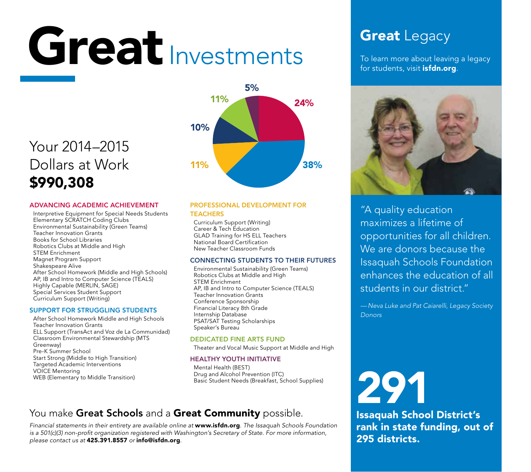# Great Investments

# Your 2014–2015 Dollars at Work \$990,308

### ADVANCING ACADEMIC ACHIEVEMENT

Interpretive Equipment for Special Needs Students Elementary SCRATCH Coding Clubs Environmental Sustainability (Green Teams) Teacher Innovation Grants Books for School Libraries Robotics Clubs at Middle and High STEM Enrichment Magnet Program Support Shakespeare Alive After School Homework (Middle and High Schools) AP, IB and Intro to Computer Science (TEALS) Highly Capable (MERLIN, SAGE) Special Services Student Support Curriculum Support (Writing)

### SUPPORT FOR STRUGGLING STUDENTS

After School Homework Middle and High Schools Teacher Innovation Grants ELL Support (TransAct and Voz de La Communidad) Classroom Environmental Stewardship (MTS Greenway) Pre-K Summer School Start Strong (Middle to High Transition) Targeted Academic Interventions VOICE Mentoring WEB (Elementary to Middle Transition)



### PROFESSIONAL DEVELOPMENT FOR **TEACHERS**

Curriculum Support (Writing) Career & Tech Education GLAD Training for HS ELL Teachers National Board Certification New Teacher Classroom Funds

### CONNECTING STUDENTS TO THEIR FUTURES

Environmental Sustainability (Green Teams) Robotics Clubs at Middle and High STEM Enrichment AP, IB and Intro to Computer Science (TEALS) Teacher Innovation Grants Conference Sponsorship Financial Literacy 8th Grade Internship Database PSAT/SAT Testing Scholarships Speaker's Bureau

### DEDICATED FINE ARTS FUND

Theater and Vocal Music Support at Middle and High

### HEALTHY YOUTH INITIATIVE

Mental Health (BEST) Drug and Alcohol Prevention (ITC) Basic Student Needs (Breakfast, School Supplies)

### You make Great Schools and a Great Community possible.

*Financial statements in their entirety are available online at* www.isfdn.org*. The Issaquah Schools Foundation is a 501(c)(3) non-profit organization registered with Washington's Secretary of State. For more information, please contact us at* 425.391.8557 *or* info@isfdn.org*.*

# **Great Legacy**

To learn more about leaving a legacy for students, visit *[isfdn.org](www.isfdn.org)*.



"A quality education maximizes a lifetime of opportunities for all children. We are donors because the Issaquah Schools Foundation enhances the education of all students in our district."

*—Neva Luke and Pat Caiarelli, Legacy Society Donors*

# 291

Issaquah School District's rank in state funding, out of 295 districts.